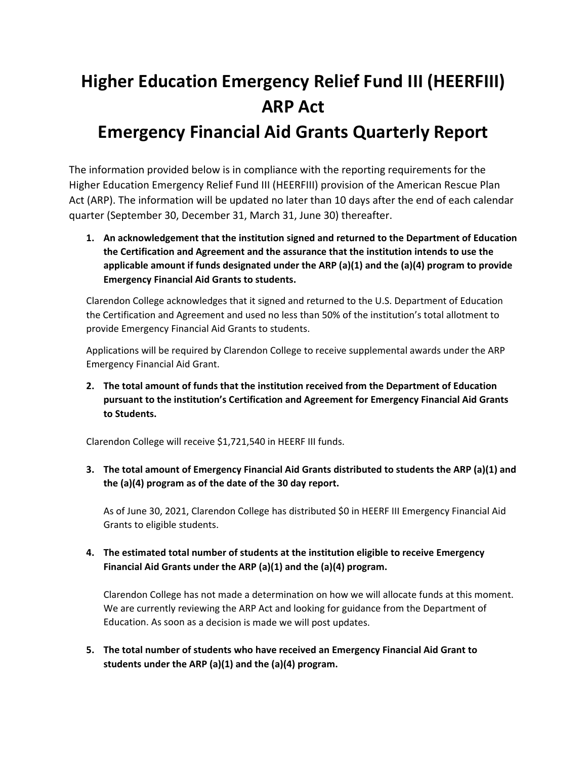## **Higher Education Emergency Relief Fund III (HEERFIII) ARP Act Emergency Financial Aid Grants Quarterly Report**

## The information provided below is in compliance with the reporting requirements for the Higher Education Emergency Relief Fund III (HEERFIII) provision of the American Rescue Plan Act (ARP). The information will be updated no later than 10 days after the end of each calendar

**1. An acknowledgement that the institution signed and returned to the Department of Education the Certification and Agreement and the assurance that the institution intends to use the applicable amount if funds designated under the ARP (a)(1) and the (a)(4) program to provide Emergency Financial Aid Grants to students.**

Clarendon College acknowledges that it signed and returned to the U.S. Department of Education the Certification and Agreement and used no less than 50% of the institution's total allotment to provide Emergency Financial Aid Grants to students.

Applications will be required by Clarendon College to receive supplemental awards under the ARP Emergency Financial Aid Grant.

**2. The total amount of funds that the institution received from the Department of Education pursuant to the institution's Certification and Agreement for Emergency Financial Aid Grants to Students.** 

Clarendon College will receive \$1,721,540 in HEERF III funds.

quarter (September 30, December 31, March 31, June 30) thereafter.

**3. The total amount of Emergency Financial Aid Grants distributed to students the ARP (a)(1) and the (a)(4) program as of the date of the 30 day report.**

As of June 30, 2021, Clarendon College has distributed \$0 in HEERF III Emergency Financial Aid Grants to eligible students.

**4. The estimated total number of students at the institution eligible to receive Emergency Financial Aid Grants under the ARP (a)(1) and the (a)(4) program.**

Clarendon College has not made a determination on how we will allocate funds at this moment. We are currently reviewing the ARP Act and looking for guidance from the Department of Education. As soon as a decision is made we will post updates.

**5. The total number of students who have received an Emergency Financial Aid Grant to students under the ARP (a)(1) and the (a)(4) program.**